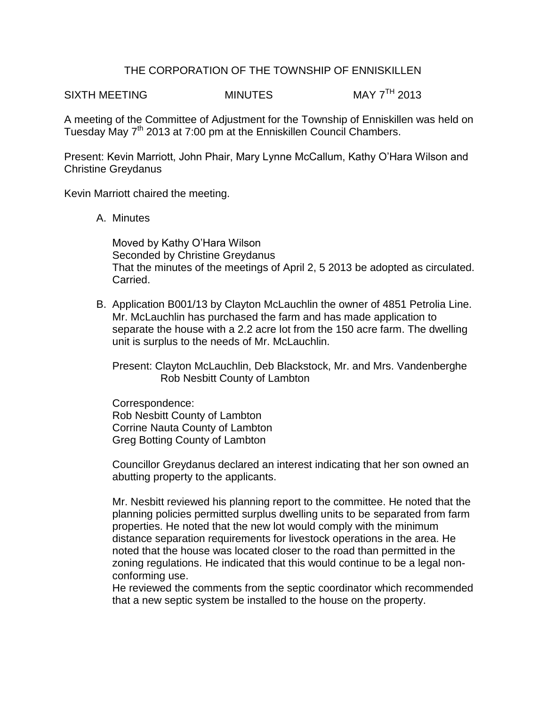## THE CORPORATION OF THE TOWNSHIP OF ENNISKILLEN

SIXTH MEETING MINUTES MAY 7<sup>TH</sup> 2013

A meeting of the Committee of Adjustment for the Township of Enniskillen was held on Tuesday May 7<sup>th</sup> 2013 at 7:00 pm at the Enniskillen Council Chambers.

Present: Kevin Marriott, John Phair, Mary Lynne McCallum, Kathy O'Hara Wilson and Christine Greydanus

Kevin Marriott chaired the meeting.

A. Minutes

Moved by Kathy O'Hara Wilson Seconded by Christine Greydanus That the minutes of the meetings of April 2, 5 2013 be adopted as circulated. Carried.

B. Application B001/13 by Clayton McLauchlin the owner of 4851 Petrolia Line. Mr. McLauchlin has purchased the farm and has made application to separate the house with a 2.2 acre lot from the 150 acre farm. The dwelling unit is surplus to the needs of Mr. McLauchlin.

Present: Clayton McLauchlin, Deb Blackstock, Mr. and Mrs. Vandenberghe Rob Nesbitt County of Lambton

Correspondence: Rob Nesbitt County of Lambton Corrine Nauta County of Lambton Greg Botting County of Lambton

Councillor Greydanus declared an interest indicating that her son owned an abutting property to the applicants.

Mr. Nesbitt reviewed his planning report to the committee. He noted that the planning policies permitted surplus dwelling units to be separated from farm properties. He noted that the new lot would comply with the minimum distance separation requirements for livestock operations in the area. He noted that the house was located closer to the road than permitted in the zoning regulations. He indicated that this would continue to be a legal nonconforming use.

He reviewed the comments from the septic coordinator which recommended that a new septic system be installed to the house on the property.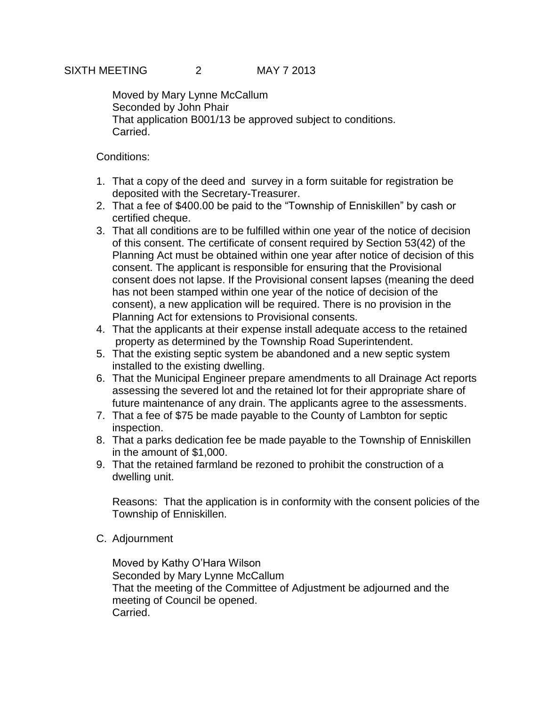Moved by Mary Lynne McCallum Seconded by John Phair That application B001/13 be approved subject to conditions. Carried.

## Conditions:

- 1. That a copy of the deed and survey in a form suitable for registration be deposited with the Secretary-Treasurer.
- 2. That a fee of \$400.00 be paid to the "Township of Enniskillen" by cash or certified cheque.
- 3. That all conditions are to be fulfilled within one year of the notice of decision of this consent. The certificate of consent required by Section 53(42) of the Planning Act must be obtained within one year after notice of decision of this consent. The applicant is responsible for ensuring that the Provisional consent does not lapse. If the Provisional consent lapses (meaning the deed has not been stamped within one year of the notice of decision of the consent), a new application will be required. There is no provision in the Planning Act for extensions to Provisional consents.
- 4. That the applicants at their expense install adequate access to the retained property as determined by the Township Road Superintendent.
- 5. That the existing septic system be abandoned and a new septic system installed to the existing dwelling.
- 6. That the Municipal Engineer prepare amendments to all Drainage Act reports assessing the severed lot and the retained lot for their appropriate share of future maintenance of any drain. The applicants agree to the assessments.
- 7. That a fee of \$75 be made payable to the County of Lambton for septic inspection.
- 8. That a parks dedication fee be made payable to the Township of Enniskillen in the amount of \$1,000.
- 9. That the retained farmland be rezoned to prohibit the construction of a dwelling unit.

Reasons: That the application is in conformity with the consent policies of the Township of Enniskillen.

C. Adjournment

Moved by Kathy O'Hara Wilson Seconded by Mary Lynne McCallum That the meeting of the Committee of Adjustment be adjourned and the meeting of Council be opened. Carried.